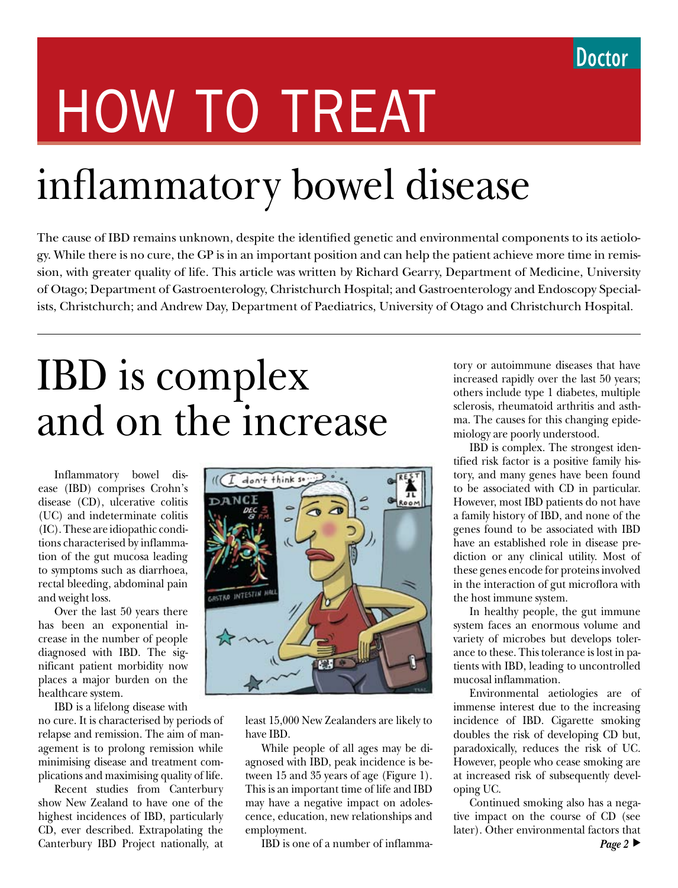# HOW TO TREAT

# inflammatory bowel disease

The cause of IBD remains unknown, despite the identified genetic and environmental components to its aetiology. While there is no cure, the GP is in an important position and can help the patient achieve more time in remission, with greater quality of life. This article was written by Richard Gearry, Department of Medicine, University of Otago; Department of Gastroenterology, Christchurch Hospital; and Gastroenterology and Endoscopy Specialists, Christchurch; and Andrew Day, Department of Paediatrics, University of Otago and Christchurch Hospital.

# IBD is complex and on the increase

Inflammatory bowel disease (IBD) comprises Crohn's disease (CD), ulcerative colitis (UC) and indeterminate colitis (IC). These are idiopathic conditions characterised by inflammation of the gut mucosa leading to symptoms such as diarrhoea, rectal bleeding, abdominal pain and weight loss.

Over the last 50 years there has been an exponential increase in the number of people diagnosed with IBD. The significant patient morbidity now places a major burden on the healthcare system.

IBD is a lifelong disease with

no cure. It is characterised by periods of relapse and remission. The aim of management is to prolong remission while minimising disease and treatment complications and maximising quality of life.

Recent studies from Canterbury show New Zealand to have one of the highest incidences of IBD, particularly CD, ever described. Extrapolating the Canterbury IBD Project nationally, at



least 15,000 New Zealanders are likely to have IBD.

While people of all ages may be diagnosed with IBD, peak incidence is between 15 and 35 years of age (Figure 1). This is an important time of life and IBD may have a negative impact on adolescence, education, new relationships and employment.

IBD is one of a number of inflamma-

tory or autoimmune diseases that have increased rapidly over the last 50 years; others include type 1 diabetes, multiple sclerosis, rheumatoid arthritis and asthma. The causes for this changing epidemiology are poorly understood.

IBD is complex. The strongest identified risk factor is a positive family history, and many genes have been found to be associated with CD in particular. However, most IBD patients do not have a family history of IBD, and none of the genes found to be associated with IBD have an established role in disease prediction or any clinical utility. Most of these genes encode for proteins involved in the interaction of gut microflora with the host immune system.

In healthy people, the gut immune system faces an enormous volume and variety of microbes but develops tolerance to these. This tolerance is lost in patients with IBD, leading to uncontrolled mucosal inflammation.

Environmental aetiologies are of immense interest due to the increasing incidence of IBD. Cigarette smoking doubles the risk of developing CD but, paradoxically, reduces the risk of UC. However, people who cease smoking are at increased risk of subsequently developing UC.

Continued smoking also has a negative impact on the course of CD (see later). Other environmental factors that *Page 2*  $\blacktriangleright$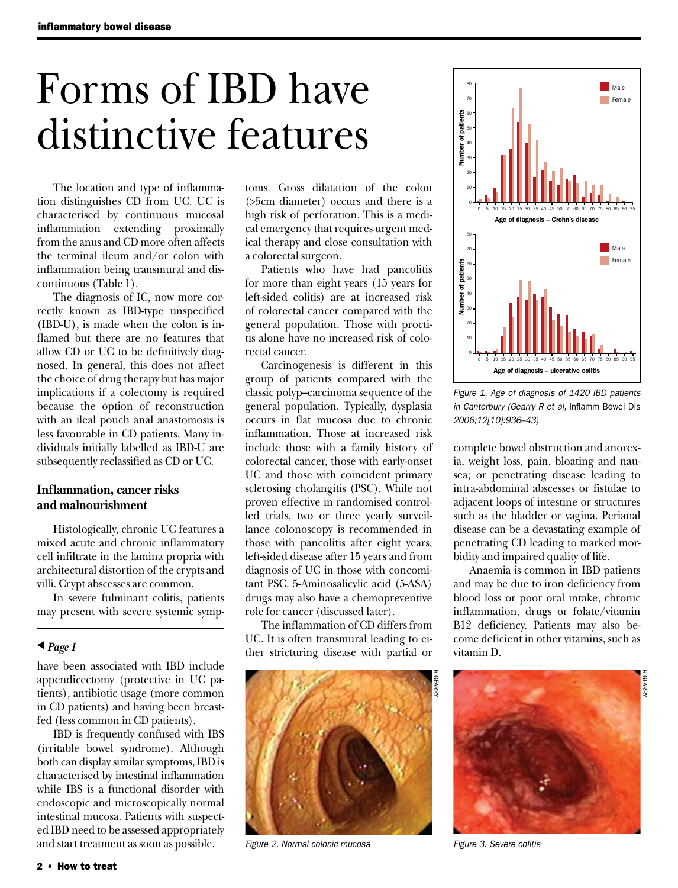# Forms of IBD have distinctive features

The location and type of inflammation distinguishes CD from UC. UC is characterised by continuous mucosal inflammation extending proximally from the anus and CD more often affects the terminal ileum and/or colon with inflammation being transmural and discontinuous (Table 1).

The diagnosis of IC, now more correctly known as IBD-type unspecified (IBD-U), is made when the colon is inflamed but there are no features that allow CD or UC to be definitively diagnosed. In general, this does not affect the choice of drug therapy but has major implications if a colectomy is required because the option of reconstruction with an ileal pouch anal anastomosis is less favourable in CD patients. Many individuals initially labelled as IBD-U are subsequently reclassified as CD or UC.

# **Inflammation, cancer risks and malnourishment**

Histologically, chronic UC features a mixed acute and chronic inflammatory cell infiltrate in the lamina propria with architectural distortion of the crypts and villi. Crypt abscesses are common.

In severe fulminant colitis, patients may present with severe systemic symp-

#### $\triangle$  *Page 1*

have been associated with IBD include appendicectomy (protective in UC patients), antibiotic usage (more common in CD patients) and having been breastfed (less common in CD patients).

IBD is frequently confused with IBS (irritable bowel syndrome). Although both can display similar symptoms, IBD is characterised by intestinal inflammation while IBS is a functional disorder with endoscopic and microscopically normal intestinal mucosa. Patients with suspected IBD need to be assessed appropriately and start treatment as soon as possible.

toms. Gross dilatation of the colon (>5cm diameter) occurs and there is a high risk of perforation. This is a medical emergency that requires urgent medical therapy and close consultation with a colorectal surgeon.

Patients who have had pancolitis for more than eight years (15 years for left-sided colitis) are at increased risk of colorectal cancer compared with the general population. Those with proctitis alone have no increased risk of colorectal cancer.

Carcinogenesis is different in this group of patients compared with the classic polyp–carcinoma sequence of the general population. Typically, dysplasia occurs in flat mucosa due to chronic inflammation. Those at increased risk include those with a family history of colorectal cancer, those with early-onset UC and those with coincident primary sclerosing cholangitis (PSC). While not proven effective in randomised controlled trials, two or three yearly surveillance colonoscopy is recommended in those with pancolitis after eight years, left-sided disease after 15 years and from diagnosis of UC in those with concomitant PSC. 5-Aminosalicylic acid (5-ASA) drugs may also have a chemopreventive role for cancer (discussed later).

The inflammation of CD differs from UC. It is often transmural leading to either stricturing disease with partial or



*Figure 2. Normal colonic mucosa Figure 3. Severe colitis*



*Figure 1. Age of diagnosis of 1420 IBD patients in Canterbury (Gearry R et al,* Inflamm Bowel Dis *2006;12[10]:936–43)*

complete bowel obstruction and anorexia, weight loss, pain, bloating and nausea; or penetrating disease leading to intra-abdominal abscesses or fistulae to adjacent loops of intestine or structures such as the bladder or vagina. Perianal disease can be a devastating example of penetrating CD leading to marked morbidity and impaired quality of life.

Anaemia is common in IBD patients and may be due to iron deficiency from blood loss or poor oral intake, chronic inflammation, drugs or folate/vitamin B12 deficiency. Patients may also become deficient in other vitamins, such as vitamin D.

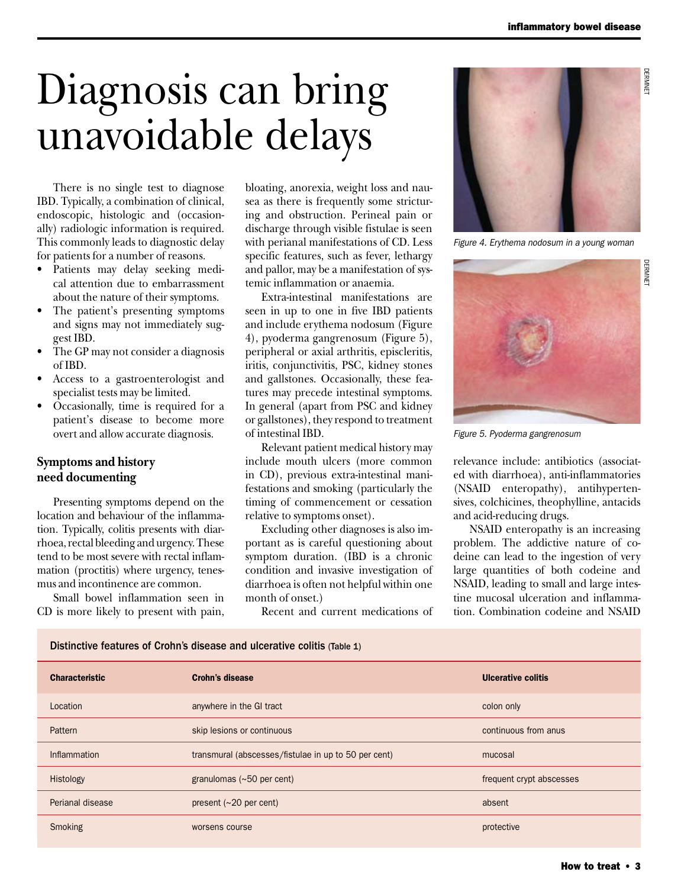DERMNET

**JERMNE** 

# Diagnosis can bring unavoidable delays

There is no single test to diagnose IBD. Typically, a combination of clinical, endoscopic, histologic and (occasionally) radiologic information is required. This commonly leads to diagnostic delay for patients for a number of reasons.

- Patients may delay seeking medical attention due to embarrassment about the nature of their symptoms.
- The patient's presenting symptoms and signs may not immediately suggest IBD.
- The GP may not consider a diagnosis of IBD.
- Access to a gastroenterologist and specialist tests may be limited.
- Occasionally, time is required for a patient's disease to become more overt and allow accurate diagnosis.

# **Symptoms and history need documenting**

Presenting symptoms depend on the location and behaviour of the inflammation. Typically, colitis presents with diarrhoea, rectal bleeding and urgency. These tend to be most severe with rectal inflammation (proctitis) where urgency, tenesmus and incontinence are common.

Small bowel inflammation seen in CD is more likely to present with pain, bloating, anorexia, weight loss and nausea as there is frequently some stricturing and obstruction. Perineal pain or discharge through visible fistulae is seen with perianal manifestations of CD. Less specific features, such as fever, lethargy and pallor, may be a manifestation of systemic inflammation or anaemia.

Extra-intestinal manifestations are seen in up to one in five IBD patients and include erythema nodosum (Figure 4), pyoderma gangrenosum (Figure 5), peripheral or axial arthritis, episcleritis, iritis, conjunctivitis, PSC, kidney stones and gallstones. Occasionally, these features may precede intestinal symptoms. In general (apart from PSC and kidney or gallstones), they respond to treatment of intestinal IBD.

Relevant patient medical history may include mouth ulcers (more common in CD), previous extra-intestinal manifestations and smoking (particularly the timing of commencement or cessation relative to symptoms onset).

Excluding other diagnoses is also important as is careful questioning about symptom duration. (IBD is a chronic condition and invasive investigation of diarrhoea is often not helpful within one month of onset.)

Recent and current medications of



*Figure 4. Erythema nodosum in a young woman*



*Figure 5. Pyoderma gangrenosum*

relevance include: antibiotics (associated with diarrhoea), anti-inflammatories (NSAID enteropathy), antihypertensives, colchicines, theophylline, antacids and acid-reducing drugs.

NSAID enteropathy is an increasing problem. The addictive nature of codeine can lead to the ingestion of very large quantities of both codeine and NSAID, leading to small and large intestine mucosal ulceration and inflammation. Combination codeine and NSAID

| <b>Characteristic</b> | <b>Crohn's disease</b>                               | <b>Ulcerative colitis</b> |
|-----------------------|------------------------------------------------------|---------------------------|
| Location              | anywhere in the GI tract                             | colon only                |
| Pattern               | skip lesions or continuous                           | continuous from anus      |
| Inflammation          | transmural (abscesses/fistulae in up to 50 per cent) | mucosal                   |
| Histology             | granulomas $(\sim 50$ per cent)                      | frequent crypt abscesses  |
| Perianal disease      | present $(\sim 20$ per cent)                         | absent                    |
| Smoking               | worsens course                                       | protective                |
|                       |                                                      |                           |

Distinctive features of Crohn's disease and ulcerative colitis (Table 1)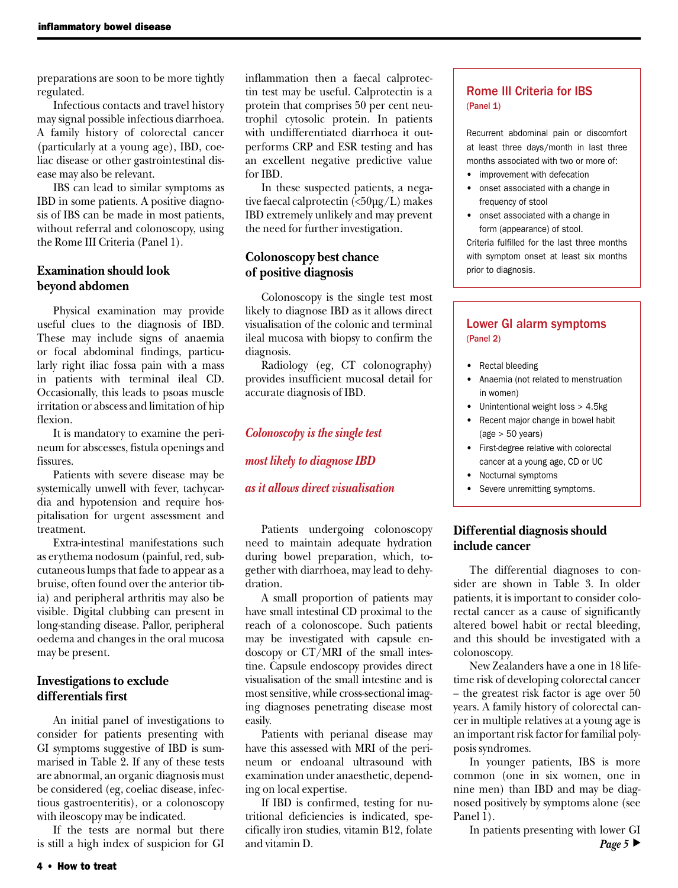preparations are soon to be more tightly regulated.

Infectious contacts and travel history may signal possible infectious diarrhoea. A family history of colorectal cancer (particularly at a young age), IBD, coeliac disease or other gastrointestinal disease may also be relevant.

IBS can lead to similar symptoms as IBD in some patients. A positive diagnosis of IBS can be made in most patients, without referral and colonoscopy, using the Rome III Criteria (Panel 1).

### **Examination should look beyond abdomen**

Physical examination may provide useful clues to the diagnosis of IBD. These may include signs of anaemia or focal abdominal findings, particularly right iliac fossa pain with a mass in patients with terminal ileal CD. Occasionally, this leads to psoas muscle irritation or abscess and limitation of hip flexion.

It is mandatory to examine the perineum for abscesses, fistula openings and fissures.

Patients with severe disease may be systemically unwell with fever, tachycardia and hypotension and require hospitalisation for urgent assessment and treatment.

Extra-intestinal manifestations such as erythema nodosum (painful, red, subcutaneous lumps that fade to appear as a bruise, often found over the anterior tibia) and peripheral arthritis may also be visible. Digital clubbing can present in long-standing disease. Pallor, peripheral oedema and changes in the oral mucosa may be present.

## **Investigations to exclude differentials first**

An initial panel of investigations to consider for patients presenting with GI symptoms suggestive of IBD is summarised in Table 2. If any of these tests are abnormal, an organic diagnosis must be considered (eg, coeliac disease, infectious gastroenteritis), or a colonoscopy with ileoscopy may be indicated.

If the tests are normal but there is still a high index of suspicion for GI inflammation then a faecal calprotectin test may be useful. Calprotectin is a protein that comprises 50 per cent neutrophil cytosolic protein. In patients with undifferentiated diarrhoea it outperforms CRP and ESR testing and has an excellent negative predictive value for IBD.

In these suspected patients, a negative faecal calprotectin (<50µg/L) makes IBD extremely unlikely and may prevent the need for further investigation.

### **Colonoscopy best chance of positive diagnosis**

Colonoscopy is the single test most likely to diagnose IBD as it allows direct visualisation of the colonic and terminal ileal mucosa with biopsy to confirm the diagnosis.

Radiology (eg, CT colonography) provides insufficient mucosal detail for accurate diagnosis of IBD.

#### *Colonoscopy is the single test*

*most likely to diagnose IBD* 

#### *as it allows direct visualisation*

Patients undergoing colonoscopy need to maintain adequate hydration during bowel preparation, which, together with diarrhoea, may lead to dehydration.

A small proportion of patients may have small intestinal CD proximal to the reach of a colonoscope. Such patients may be investigated with capsule endoscopy or CT/MRI of the small intestine. Capsule endoscopy provides direct visualisation of the small intestine and is most sensitive, while cross-sectional imaging diagnoses penetrating disease most easily.

Patients with perianal disease may have this assessed with MRI of the perineum or endoanal ultrasound with examination under anaesthetic, depending on local expertise.

If IBD is confirmed, testing for nutritional deficiencies is indicated, specifically iron studies, vitamin B12, folate and vitamin D.

# Rome III Criteria for IBS (Panel 1)

Recurrent abdominal pain or discomfort at least three days/month in last three months associated with two or more of:

- improvement with defecation
- onset associated with a change in frequency of stool
- onset associated with a change in form (appearance) of stool.

Criteria fulfilled for the last three months with symptom onset at least six months prior to diagnosis.

# Lower GI alarm symptoms (Panel 2)

- Rectal bleeding
- • Anaemia (not related to menstruation in women)
- Unintentional weight loss > 4.5kg
- Recent major change in bowel habit  $(age > 50 years)$
- • First-degree relative with colorectal cancer at a young age, CD or UC
- • Nocturnal symptoms
- Severe unremitting symptoms.

# **Differential diagnosis should include cancer**

The differential diagnoses to consider are shown in Table 3. In older patients, it is important to consider colorectal cancer as a cause of significantly altered bowel habit or rectal bleeding, and this should be investigated with a colonoscopy.

New Zealanders have a one in 18 lifetime risk of developing colorectal cancer – the greatest risk factor is age over 50 years. A family history of colorectal cancer in multiple relatives at a young age is an important risk factor for familial polyposis syndromes.

In younger patients, IBS is more common (one in six women, one in nine men) than IBD and may be diagnosed positively by symptoms alone (see Panel 1).

In patients presenting with lower GI *Page* 5  $\blacktriangleright$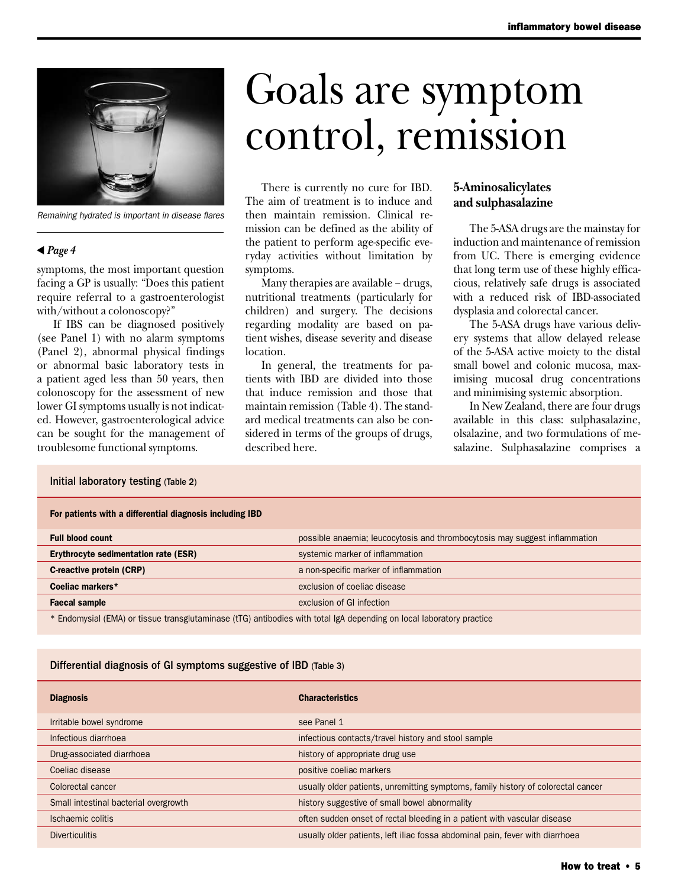

*Remaining hydrated is important in disease flares*

#### $\triangle$  *Page 4*

symptoms, the most important question facing a GP is usually: "Does this patient require referral to a gastroenterologist with/without a colonoscopy?"

If IBS can be diagnosed positively (see Panel 1) with no alarm symptoms (Panel 2), abnormal physical findings or abnormal basic laboratory tests in a patient aged less than 50 years, then colonoscopy for the assessment of new lower GI symptoms usually is not indicated. However, gastroenterological advice can be sought for the management of troublesome functional symptoms.

# Goals are symptom control, remission

There is currently no cure for IBD. The aim of treatment is to induce and then maintain remission. Clinical remission can be defined as the ability of the patient to perform age-specific everyday activities without limitation by symptoms.

Many therapies are available − drugs, nutritional treatments (particularly for children) and surgery. The decisions regarding modality are based on patient wishes, disease severity and disease location.

In general, the treatments for patients with IBD are divided into those that induce remission and those that maintain remission (Table 4). The standard medical treatments can also be considered in terms of the groups of drugs, described here.

# **5-Aminosalicylates and sulphasalazine**

The 5-ASA drugs are the mainstay for induction and maintenance of remission from UC. There is emerging evidence that long term use of these highly efficacious, relatively safe drugs is associated with a reduced risk of IBD-associated dysplasia and colorectal cancer.

The 5-ASA drugs have various delivery systems that allow delayed release of the 5-ASA active moiety to the distal small bowel and colonic mucosa, maximising mucosal drug concentrations and minimising systemic absorption.

In New Zealand, there are four drugs available in this class: sulphasalazine, olsalazine, and two formulations of mesalazine. Sulphasalazine comprises a

# Initial laboratory testing (Table 2) For patients with a differential diagnosis including IBD Full blood count **possible anaemia;** leucocytosis and thrombocytosis may suggest inflammation Erythrocyte sedimentation rate (ESR) systemic marker of inflammation **C-reactive protein (CRP)** a non-specific marker of inflammation and a non-specific marker of inflammation **Coeliac markers**\* **Exclusion of coeliac disease** exclusion of coeliac disease **Faecal sample** exclusion of GI infection

\* Endomysial (EMA) or tissue transglutaminase (tTG) antibodies with total IgA depending on local laboratory practice

#### Differential diagnosis of GI symptoms suggestive of IBD (Table 3)

| <b>Diagnosis</b>                      | <b>Characteristics</b>                                                            |
|---------------------------------------|-----------------------------------------------------------------------------------|
| Irritable bowel syndrome              | see Panel 1                                                                       |
| Infectious diarrhoea                  | infectious contacts/travel history and stool sample                               |
| Drug-associated diarrhoea             | history of appropriate drug use                                                   |
| Coeliac disease                       | positive coeliac markers                                                          |
| Colorectal cancer                     | usually older patients, unremitting symptoms, family history of colorectal cancer |
| Small intestinal bacterial overgrowth | history suggestive of small bowel abnormality                                     |
| Ischaemic colitis                     | often sudden onset of rectal bleeding in a patient with vascular disease          |
| <b>Diverticulitis</b>                 | usually older patients, left iliac fossa abdominal pain, fever with diarrhoea     |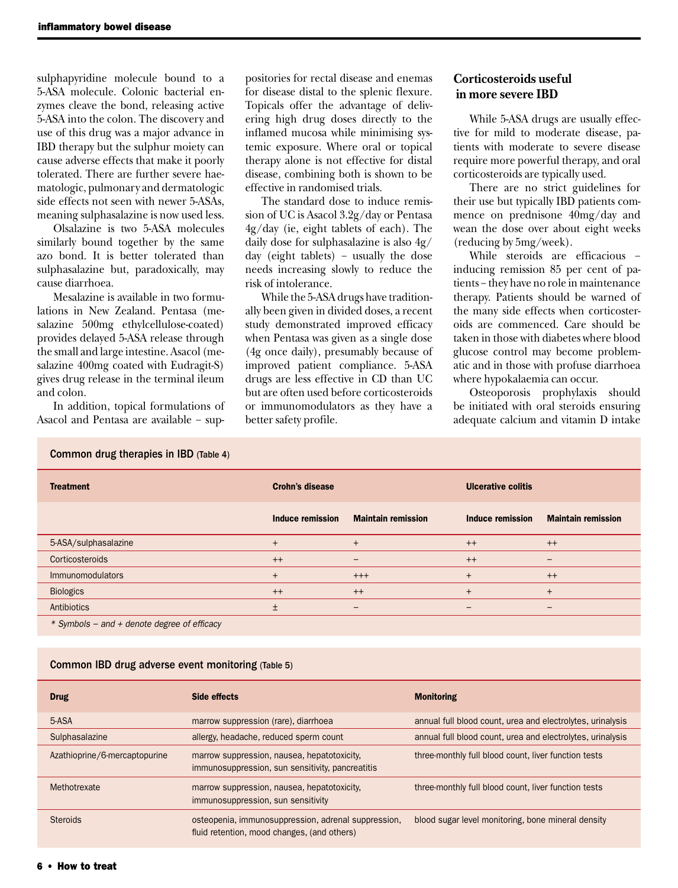sulphapyridine molecule bound to a 5-ASA molecule. Colonic bacterial enzymes cleave the bond, releasing active 5-ASA into the colon. The discovery and use of this drug was a major advance in IBD therapy but the sulphur moiety can cause adverse effects that make it poorly tolerated. There are further severe haematologic, pulmonary and dermatologic side effects not seen with newer 5-ASAs, meaning sulphasalazine is now used less.

Olsalazine is two 5-ASA molecules similarly bound together by the same azo bond. It is better tolerated than sulphasalazine but, paradoxically, may cause diarrhoea.

Mesalazine is available in two formulations in New Zealand. Pentasa (mesalazine 500mg ethylcellulose-coated) provides delayed 5-ASA release through the small and large intestine. Asacol (mesalazine 400mg coated with Eudragit-S) gives drug release in the terminal ileum and colon.

In addition, topical formulations of Asacol and Pentasa are available − suppositories for rectal disease and enemas for disease distal to the splenic flexure. Topicals offer the advantage of delivering high drug doses directly to the inflamed mucosa while minimising systemic exposure. Where oral or topical therapy alone is not effective for distal disease, combining both is shown to be effective in randomised trials.

The standard dose to induce remission of UC is Asacol 3.2g/day or Pentasa 4g/day (ie, eight tablets of each). The daily dose for sulphasalazine is also 4g/ day (eight tablets) − usually the dose needs increasing slowly to reduce the risk of intolerance.

While the 5-ASA drugs have traditionally been given in divided doses, a recent study demonstrated improved efficacy when Pentasa was given as a single dose (4g once daily), presumably because of improved patient compliance. 5-ASA drugs are less effective in CD than UC but are often used before corticosteroids or immunomodulators as they have a better safety profile.

# **Corticosteroids useful in more severe IBD**

While 5-ASA drugs are usually effective for mild to moderate disease, patients with moderate to severe disease require more powerful therapy, and oral corticosteroids are typically used.

There are no strict guidelines for their use but typically IBD patients commence on prednisone 40mg/day and wean the dose over about eight weeks (reducing by 5mg/week).

While steroids are efficacious − inducing remission 85 per cent of patients − they have no role in maintenance therapy. Patients should be warned of the many side effects when corticosteroids are commenced. Care should be taken in those with diabetes where blood glucose control may become problematic and in those with profuse diarrhoea where hypokalaemia can occur.

Osteoporosis prophylaxis should be initiated with oral steroids ensuring adequate calcium and vitamin D intake

| Common drug therapies in IBD (Table 4)  |                        |                           |                           |                           |  |
|-----------------------------------------|------------------------|---------------------------|---------------------------|---------------------------|--|
| <b>Treatment</b>                        | <b>Crohn's disease</b> |                           | <b>Ulcerative colitis</b> |                           |  |
|                                         | Induce remission       | <b>Maintain remission</b> | Induce remission          | <b>Maintain remission</b> |  |
| 5-ASA/sulphasalazine                    | $^{+}$                 | $+$                       | $^{++}$                   | $^{++}$                   |  |
| Corticosteroids                         | $++$                   | $\qquad \qquad -$         | $^{++}$                   | —                         |  |
| Immunomodulators                        | $^{+}$                 | $^{+++}$                  | $+$                       | $^{++}$                   |  |
| <b>Biologics</b>                        | $++$                   | $^{++}$                   | $+$                       | $^{+}$                    |  |
| Antibiotics                             | $\pm$                  | $\qquad \qquad -$         | —                         | $\overline{\phantom{0}}$  |  |
| $\sim$ $\sim$ $\sim$ $\sim$ $\sim$<br>. |                        |                           |                           |                           |  |

*\* Symbols − and + denote degree of efficacy*

#### Common IBD drug adverse event monitoring (Table 5)

| <b>Drug</b>                   | Side effects                                                                                       | <b>Monitoring</b>                                          |
|-------------------------------|----------------------------------------------------------------------------------------------------|------------------------------------------------------------|
| 5-ASA                         | marrow suppression (rare), diarrhoea                                                               | annual full blood count, urea and electrolytes, urinalysis |
| Sulphasalazine                | allergy, headache, reduced sperm count                                                             | annual full blood count, urea and electrolytes, urinalysis |
| Azathioprine/6-mercaptopurine | marrow suppression, nausea, hepatotoxicity.<br>immunosuppression, sun sensitivity, pancreatitis    | three-monthly full blood count, liver function tests       |
| Methotrexate                  | marrow suppression, nausea, hepatotoxicity,<br>immunosuppression, sun sensitivity                  | three-monthly full blood count, liver function tests       |
| <b>Steroids</b>               | osteopenia, immunosuppression, adrenal suppression,<br>fluid retention, mood changes, (and others) | blood sugar level monitoring, bone mineral density         |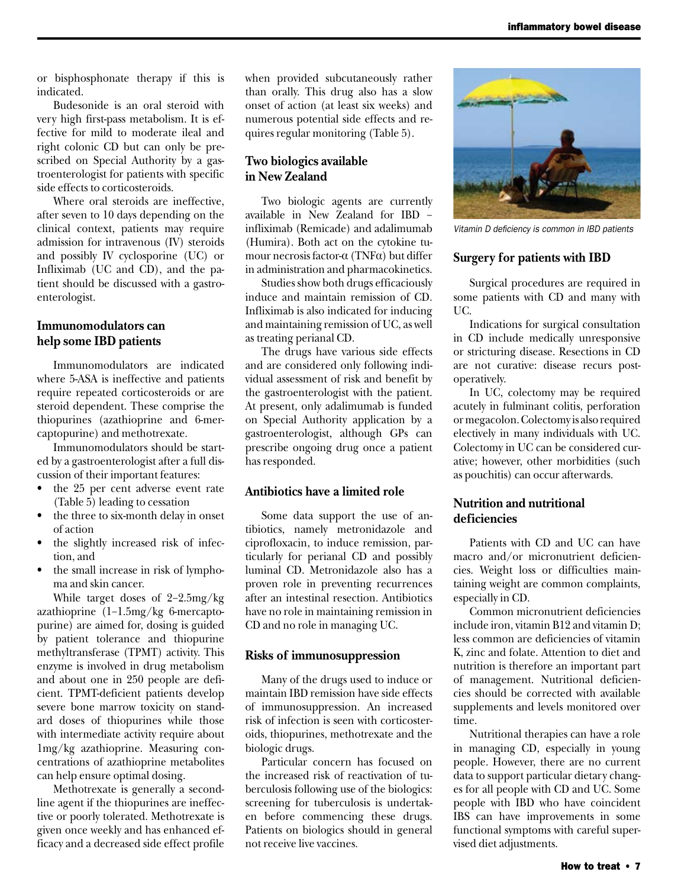or bisphosphonate therapy if this is indicated.

Budesonide is an oral steroid with very high first-pass metabolism. It is effective for mild to moderate ileal and right colonic CD but can only be prescribed on Special Authority by a gastroenterologist for patients with specific side effects to corticosteroids.

Where oral steroids are ineffective, after seven to 10 days depending on the clinical context, patients may require admission for intravenous (IV) steroids and possibly IV cyclosporine (UC) or Infliximab (UC and CD), and the patient should be discussed with a gastroenterologist.

# **Immunomodulators can help some IBD patients**

Immunomodulators are indicated where 5-ASA is ineffective and patients require repeated corticosteroids or are steroid dependent. These comprise the thiopurines (azathioprine and 6-mercaptopurine) and methotrexate.

Immunomodulators should be started by a gastroenterologist after a full discussion of their important features:

- the 25 per cent adverse event rate (Table 5) leading to cessation
- the three to six-month delay in onset of action
- the slightly increased risk of infection, and
- the small increase in risk of lymphoma and skin cancer.

While target doses of 2−2.5mg/kg azathioprine (1−1.5mg/kg 6-mercaptopurine) are aimed for, dosing is guided by patient tolerance and thiopurine methyltransferase (TPMT) activity. This enzyme is involved in drug metabolism and about one in 250 people are deficient. TPMT-deficient patients develop severe bone marrow toxicity on standard doses of thiopurines while those with intermediate activity require about 1mg/kg azathioprine. Measuring concentrations of azathioprine metabolites can help ensure optimal dosing.

Methotrexate is generally a secondline agent if the thiopurines are ineffective or poorly tolerated. Methotrexate is given once weekly and has enhanced efficacy and a decreased side effect profile when provided subcutaneously rather than orally. This drug also has a slow onset of action (at least six weeks) and numerous potential side effects and requires regular monitoring (Table 5).

# **Two biologics available in New Zealand**

Two biologic agents are currently available in New Zealand for IBD − infliximab (Remicade) and adalimumab (Humira). Both act on the cytokine tumour necrosis factor-α (TNFα) but differ in administration and pharmacokinetics.

Studies show both drugs efficaciously induce and maintain remission of CD. Infliximab is also indicated for inducing and maintaining remission of UC, as well as treating perianal CD.

The drugs have various side effects and are considered only following individual assessment of risk and benefit by the gastroenterologist with the patient. At present, only adalimumab is funded on Special Authority application by a gastroenterologist, although GPs can prescribe ongoing drug once a patient has responded.

#### **Antibiotics have a limited role**

Some data support the use of antibiotics, namely metronidazole and ciprofloxacin, to induce remission, particularly for perianal CD and possibly luminal CD. Metronidazole also has a proven role in preventing recurrences after an intestinal resection. Antibiotics have no role in maintaining remission in CD and no role in managing UC.

#### **Risks of immunosuppression**

Many of the drugs used to induce or maintain IBD remission have side effects of immunosuppression. An increased risk of infection is seen with corticosteroids, thiopurines, methotrexate and the biologic drugs.

Particular concern has focused on the increased risk of reactivation of tuberculosis following use of the biologics: screening for tuberculosis is undertaken before commencing these drugs. Patients on biologics should in general not receive live vaccines.



*Vitamin D deficiency is common in IBD patients*

#### **Surgery for patients with IBD**

Surgical procedures are required in some patients with CD and many with UC.

Indications for surgical consultation in CD include medically unresponsive or stricturing disease. Resections in CD are not curative: disease recurs postoperatively.

In UC, colectomy may be required acutely in fulminant colitis, perforation or megacolon. Colectomy is also required electively in many individuals with UC. Colectomy in UC can be considered curative; however, other morbidities (such as pouchitis) can occur afterwards.

## **Nutrition and nutritional deficiencies**

Patients with CD and UC can have macro and/or micronutrient deficiencies. Weight loss or difficulties maintaining weight are common complaints, especially in CD.

Common micronutrient deficiencies include iron, vitamin B12 and vitamin D; less common are deficiencies of vitamin K, zinc and folate. Attention to diet and nutrition is therefore an important part of management. Nutritional deficiencies should be corrected with available supplements and levels monitored over time.

Nutritional therapies can have a role in managing CD, especially in young people. However, there are no current data to support particular dietary changes for all people with CD and UC. Some people with IBD who have coincident IBS can have improvements in some functional symptoms with careful supervised diet adjustments.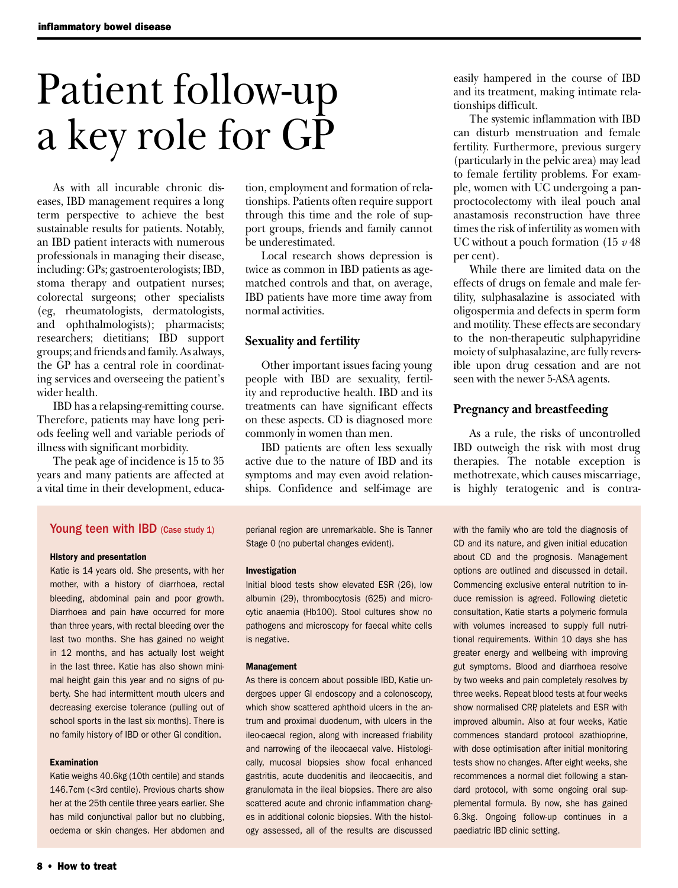# Patient follow-up a key role for GP

As with all incurable chronic diseases, IBD management requires a long term perspective to achieve the best sustainable results for patients. Notably, an IBD patient interacts with numerous professionals in managing their disease, including: GPs; gastroenterologists; IBD, stoma therapy and outpatient nurses; colorectal surgeons; other specialists (eg, rheumatologists, dermatologists, and ophthalmologists); pharmacists; researchers; dietitians; IBD support groups; and friends and family. As always, the GP has a central role in coordinating services and overseeing the patient's wider health.

IBD has a relapsing-remitting course. Therefore, patients may have long periods feeling well and variable periods of illness with significant morbidity.

The peak age of incidence is 15 to 35 years and many patients are affected at a vital time in their development, educa-

tion, employment and formation of relationships. Patients often require support through this time and the role of support groups, friends and family cannot be underestimated.

Local research shows depression is twice as common in IBD patients as agematched controls and that, on average, IBD patients have more time away from normal activities.

#### **Sexuality and fertility**

Other important issues facing young people with IBD are sexuality, fertility and reproductive health. IBD and its treatments can have significant effects on these aspects. CD is diagnosed more commonly in women than men.

IBD patients are often less sexually active due to the nature of IBD and its symptoms and may even avoid relationships. Confidence and self-image are

easily hampered in the course of IBD and its treatment, making intimate relationships difficult.

The systemic inflammation with IBD can disturb menstruation and female fertility. Furthermore, previous surgery (particularly in the pelvic area) may lead to female fertility problems. For example, women with UC undergoing a panproctocolectomy with ileal pouch anal anastamosis reconstruction have three times the risk of infertility as women with UC without a pouch formation (15 *v* 48 per cent).

While there are limited data on the effects of drugs on female and male fertility, sulphasalazine is associated with oligospermia and defects in sperm form and motility. These effects are secondary to the non-therapeutic sulphapyridine moiety of sulphasalazine, are fully reversible upon drug cessation and are not seen with the newer 5-ASA agents.

## **Pregnancy and breastfeeding**

As a rule, the risks of uncontrolled IBD outweigh the risk with most drug therapies. The notable exception is methotrexate, which causes miscarriage, is highly teratogenic and is contra-

#### Young teen with IBD (Case study 1)

#### History and presentation

Katie is 14 years old. She presents, with her mother, with a history of diarrhoea, rectal bleeding, abdominal pain and poor growth. Diarrhoea and pain have occurred for more than three years, with rectal bleeding over the last two months. She has gained no weight in 12 months, and has actually lost weight in the last three. Katie has also shown minimal height gain this year and no signs of puberty. She had intermittent mouth ulcers and decreasing exercise tolerance (pulling out of school sports in the last six months). There is no family history of IBD or other GI condition.

#### Examination

Katie weighs 40.6kg (10th centile) and stands 146.7cm (<3rd centile). Previous charts show her at the 25th centile three years earlier. She has mild conjunctival pallor but no clubbing, oedema or skin changes. Her abdomen and perianal region are unremarkable. She is Tanner Stage 0 (no pubertal changes evident).

#### Investigation

Initial blood tests show elevated ESR (26), low albumin (29), thrombocytosis (625) and microcytic anaemia (Hb100). Stool cultures show no pathogens and microscopy for faecal white cells is negative.

#### Management

As there is concern about possible IBD, Katie undergoes upper GI endoscopy and a colonoscopy, which show scattered aphthoid ulcers in the antrum and proximal duodenum, with ulcers in the ileo-caecal region, along with increased friability and narrowing of the ileocaecal valve. Histologically, mucosal biopsies show focal enhanced gastritis, acute duodenitis and ileocaecitis, and granulomata in the ileal biopsies. There are also scattered acute and chronic inflammation changes in additional colonic biopsies. With the histology assessed, all of the results are discussed with the family who are told the diagnosis of CD and its nature, and given initial education about CD and the prognosis. Management options are outlined and discussed in detail. Commencing exclusive enteral nutrition to induce remission is agreed. Following dietetic consultation, Katie starts a polymeric formula with volumes increased to supply full nutritional requirements. Within 10 days she has greater energy and wellbeing with improving gut symptoms. Blood and diarrhoea resolve by two weeks and pain completely resolves by three weeks. Repeat blood tests at four weeks show normalised CRP, platelets and ESR with improved albumin. Also at four weeks, Katie commences standard protocol azathioprine, with dose optimisation after initial monitoring tests show no changes. After eight weeks, she recommences a normal diet following a standard protocol, with some ongoing oral supplemental formula. By now, she has gained 6.3kg. Ongoing follow-up continues in a paediatric IBD clinic setting.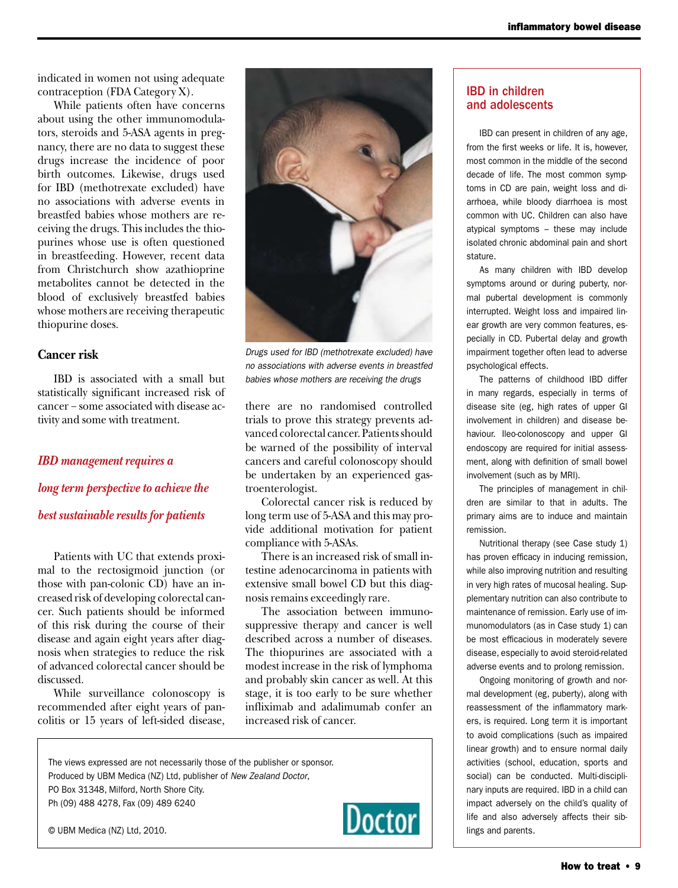indicated in women not using adequate contraception (FDA Category X).

While patients often have concerns about using the other immunomodulators, steroids and 5-ASA agents in pregnancy, there are no data to suggest these drugs increase the incidence of poor birth outcomes. Likewise, drugs used for IBD (methotrexate excluded) have no associations with adverse events in breastfed babies whose mothers are receiving the drugs. This includes the thiopurines whose use is often questioned in breastfeeding. However, recent data from Christchurch show azathioprine metabolites cannot be detected in the blood of exclusively breastfed babies whose mothers are receiving therapeutic thiopurine doses.

#### **Cancer risk**

IBD is associated with a small but statistically significant increased risk of cancer − some associated with disease activity and some with treatment.

#### *IBD management requires a*

*long term perspective to achieve the best sustainable results for patients*

Patients with UC that extends proximal to the rectosigmoid junction (or those with pan-colonic CD) have an increased risk of developing colorectal cancer. Such patients should be informed of this risk during the course of their disease and again eight years after diagnosis when strategies to reduce the risk of advanced colorectal cancer should be discussed.

While surveillance colonoscopy is recommended after eight years of pancolitis or 15 years of left-sided disease,



*Drugs used for IBD (methotrexate excluded) have no associations with adverse events in breastfed babies whose mothers are receiving the drugs*

there are no randomised controlled trials to prove this strategy prevents advanced colorectal cancer. Patients should be warned of the possibility of interval cancers and careful colonoscopy should be undertaken by an experienced gastroenterologist.

Colorectal cancer risk is reduced by long term use of 5-ASA and this may provide additional motivation for patient compliance with 5-ASAs.

There is an increased risk of small intestine adenocarcinoma in patients with extensive small bowel CD but this diagnosis remains exceedingly rare.

The association between immunosuppressive therapy and cancer is well described across a number of diseases. The thiopurines are associated with a modest increase in the risk of lymphoma and probably skin cancer as well. At this stage, it is too early to be sure whether infliximab and adalimumab confer an increased risk of cancer.

The views expressed are not necessarily those of the publisher or sponsor. Produced by UBM Medica (NZ) Ltd, publisher of *New Zealand Doctor*, PO Box 31348, Milford, North Shore City. Ph (09) 488 4278, Fax (09) 489 6240



#### IBD in children and adolescents

IBD can present in children of any age, from the first weeks or life. It is, however, most common in the middle of the second decade of life. The most common symptoms in CD are pain, weight loss and diarrhoea, while bloody diarrhoea is most common with UC. Children can also have atypical symptoms – these may include isolated chronic abdominal pain and short stature.

As many children with IBD develop symptoms around or during puberty, normal pubertal development is commonly interrupted. Weight loss and impaired linear growth are very common features, especially in CD. Pubertal delay and growth impairment together often lead to adverse psychological effects.

The patterns of childhood IBD differ in many regards, especially in terms of disease site (eg, high rates of upper GI involvement in children) and disease behaviour. Ileo-colonoscopy and upper GI endoscopy are required for initial assessment, along with definition of small bowel involvement (such as by MRI).

The principles of management in children are similar to that in adults. The primary aims are to induce and maintain remission.

Nutritional therapy (see Case study 1) has proven efficacy in inducing remission, while also improving nutrition and resulting in very high rates of mucosal healing. Supplementary nutrition can also contribute to maintenance of remission. Early use of immunomodulators (as in Case study 1) can be most efficacious in moderately severe disease, especially to avoid steroid-related adverse events and to prolong remission.

Ongoing monitoring of growth and normal development (eg, puberty), along with reassessment of the inflammatory markers, is required. Long term it is important to avoid complications (such as impaired linear growth) and to ensure normal daily activities (school, education, sports and social) can be conducted. Multi-disciplinary inputs are required. IBD in a child can impact adversely on the child's quality of life and also adversely affects their siblings and parents.

© UBM Medica (NZ) Ltd, 2010.